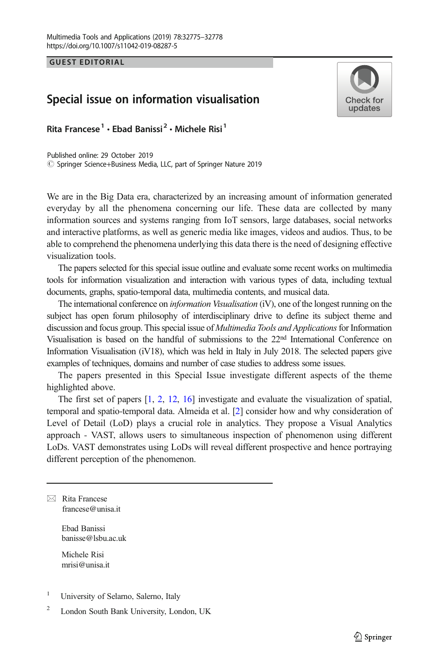GUEST EDITORIAL

## Special issue on information visualisation



Rita Francese<sup>1</sup> · Ebad Banissi<sup>2</sup> · Michele Risi<sup>1</sup>

 $\circled{c}$  Springer Science+Business Media, LLC, part of Springer Nature 2019 Published online: 29 October 2019

We are in the Big Data era, characterized by an increasing amount of information generated everyday by all the phenomena concerning our life. These data are collected by many information sources and systems ranging from IoT sensors, large databases, social networks and interactive platforms, as well as generic media like images, videos and audios. Thus, to be able to comprehend the phenomena underlying this data there is the need of designing effective visualization tools.

The papers selected for this special issue outline and evaluate some recent works on multimedia tools for information visualization and interaction with various types of data, including textual documents, graphs, spatio-temporal data, multimedia contents, and musical data.

The international conference on *information Visualisation* (iV), one of the longest running on the subject has open forum philosophy of interdisciplinary drive to define its subject theme and discussion and focus group. This special issue of *Multimedia Tools and Applications* for Information Visualisation is based on the handful of submissions to the 22<sup>nd</sup> International Conference on Information Visualisation (iV18), which was held in Italy in July 2018. The selected papers give examples of techniques, domains and number of case studies to address some issues.

The papers presented in this Special Issue investigate different aspects of the theme highlighted above.

The first set of papers [[1](#page-2-0), [2,](#page-2-0) [12](#page-3-0), [16](#page-3-0)] investigate and evaluate the visualization of spatial, temporal and spatio-temporal data. Almeida et al. [[2](#page-2-0)] consider how and why consideration of Level of Detail (LoD) plays a crucial role in analytics. They propose a Visual Analytics approach - VAST, allows users to simultaneous inspection of phenomenon using different LoDs. VAST demonstrates using LoDs will reveal different prospective and hence portraying different perception of the phenomenon.

 $\boxtimes$  Rita Francese [francese@unisa.it](mailto:francese@unisa.it)

> Ebad Banissi banisse@lsbu.ac.uk

Michele Risi mrisi@unisa.it

<sup>1</sup> University of Selarno, Salerno, Italy

<sup>2</sup> London South Bank University, London, UK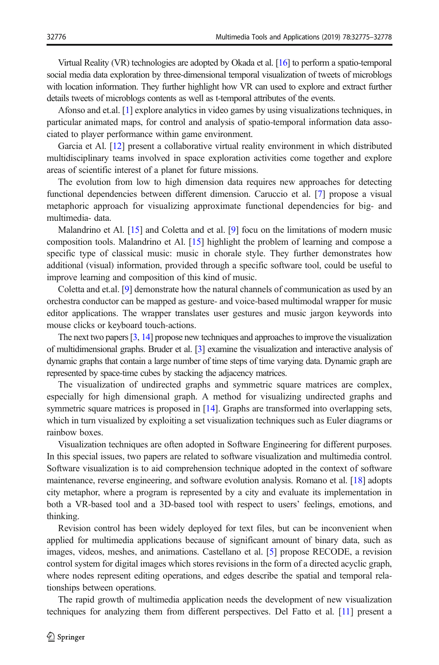Virtual Reality (VR) technologies are adopted by Okada et al. [\[16\]](#page-3-0) to perform a spatio-temporal social media data exploration by three-dimensional temporal visualization of tweets of microblogs with location information. They further highlight how VR can used to explore and extract further details tweets of microblogs contents as well as t-temporal attributes of the events.

Afonso and et.al. [\[1\]](#page-2-0) explore analytics in video games by using visualizations techniques, in particular animated maps, for control and analysis of spatio-temporal information data associated to player performance within game environment.

Garcia et Al. [[12\]](#page-3-0) present a collaborative virtual reality environment in which distributed multidisciplinary teams involved in space exploration activities come together and explore areas of scientific interest of a planet for future missions.

The evolution from low to high dimension data requires new approaches for detecting functional dependencies between different dimension. Caruccio et al. [\[7\]](#page-3-0) propose a visual metaphoric approach for visualizing approximate functional dependencies for big- and multimedia- data.

Malandrino et Al. [[15\]](#page-3-0) and Coletta and et al. [\[9](#page-3-0)] focu on the limitations of modern music composition tools. Malandrino et Al. [\[15](#page-3-0)] highlight the problem of learning and compose a specific type of classical music: music in chorale style. They further demonstrates how additional (visual) information, provided through a specific software tool, could be useful to improve learning and composition of this kind of music.

Coletta and et.al. [[9](#page-3-0)] demonstrate how the natural channels of communication as used by an orchestra conductor can be mapped as gesture- and voice-based multimodal wrapper for music editor applications. The wrapper translates user gestures and music jargon keywords into mouse clicks or keyboard touch-actions.

The next two papers [\[3,](#page-3-0) [14](#page-3-0)] propose new techniques and approaches to improve the visualization of multidimensional graphs. Bruder et al. [\[3](#page-3-0)] examine the visualization and interactive analysis of dynamic graphs that contain a large number of time steps of time varying data. Dynamic graph are represented by space-time cubes by stacking the adjacency matrices.

The visualization of undirected graphs and symmetric square matrices are complex, especially for high dimensional graph. A method for visualizing undirected graphs and symmetric square matrices is proposed in [\[14](#page-3-0)]. Graphs are transformed into overlapping sets, which in turn visualized by exploiting a set visualization techniques such as Euler diagrams or rainbow boxes.

Visualization techniques are often adopted in Software Engineering for different purposes. In this special issues, two papers are related to software visualization and multimedia control. Software visualization is to aid comprehension technique adopted in the context of software maintenance, reverse engineering, and software evolution analysis. Romano et al. [[18\]](#page-3-0) adopts city metaphor, where a program is represented by a city and evaluate its implementation in both a VR-based tool and a 3D-based tool with respect to users' feelings, emotions, and thinking.

Revision control has been widely deployed for text files, but can be inconvenient when applied for multimedia applications because of significant amount of binary data, such as images, videos, meshes, and animations. Castellano et al. [[5](#page-3-0)] propose RECODE, a revision control system for digital images which stores revisions in the form of a directed acyclic graph, where nodes represent editing operations, and edges describe the spatial and temporal relationships between operations.

The rapid growth of multimedia application needs the development of new visualization techniques for analyzing them from different perspectives. Del Fatto et al. [\[11\]](#page-3-0) present a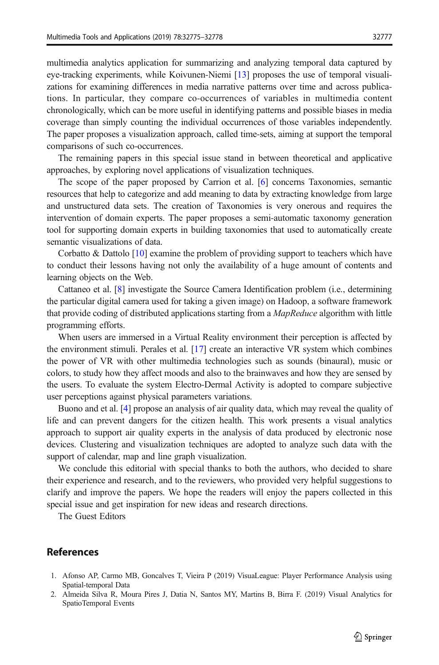<span id="page-2-0"></span>multimedia analytics application for summarizing and analyzing temporal data captured by eye-tracking experiments, while Koivunen-Niemi [[13\]](#page-3-0) proposes the use of temporal visualizations for examining differences in media narrative patterns over time and across publications. In particular, they compare co-occurrences of variables in multimedia content chronologically, which can be more useful in identifying patterns and possible biases in media coverage than simply counting the individual occurrences of those variables independently. The paper proposes a visualization approach, called time-sets, aiming at support the temporal comparisons of such co-occurrences.

The remaining papers in this special issue stand in between theoretical and applicative approaches, by exploring novel applications of visualization techniques.

The scope of the paper proposed by Carrion et al. [\[6\]](#page-3-0) concerns Taxonomies, semantic resources that help to categorize and add meaning to data by extracting knowledge from large and unstructured data sets. The creation of Taxonomies is very onerous and requires the intervention of domain experts. The paper proposes a semi-automatic taxonomy generation tool for supporting domain experts in building taxonomies that used to automatically create semantic visualizations of data.

Corbatto  $&$  Dattolo [\[10](#page-3-0)] examine the problem of providing support to teachers which have to conduct their lessons having not only the availability of a huge amount of contents and learning objects on the Web.

Cattaneo et al. [[8](#page-3-0)] investigate the Source Camera Identification problem (i.e., determining the particular digital camera used for taking a given image) on Hadoop, a software framework that provide coding of distributed applications starting from a *MapReduce* algorithm with little programming efforts.

When users are immersed in a Virtual Reality environment their perception is affected by the environment stimuli. Perales et al. [\[17\]](#page-3-0) create an interactive VR system which combines the power of VR with other multimedia technologies such as sounds (binaural), music or colors, to study how they affect moods and also to the brainwaves and how they are sensed by the users. To evaluate the system Electro-Dermal Activity is adopted to compare subjective user perceptions against physical parameters variations.

Buono and et al. [[4](#page-3-0)] propose an analysis of air quality data, which may reveal the quality of life and can prevent dangers for the citizen health. This work presents a visual analytics approach to support air quality experts in the analysis of data produced by electronic nose devices. Clustering and visualization techniques are adopted to analyze such data with the support of calendar, map and line graph visualization.

We conclude this editorial with special thanks to both the authors, who decided to share their experience and research, and to the reviewers, who provided very helpful suggestions to clarify and improve the papers. We hope the readers will enjoy the papers collected in this special issue and get inspiration for new ideas and research directions.

The Guest Editors

## References

- 1. Afonso AP, Carmo MB, Goncalves T, Vieira P (2019) VisuaLeague: Player Performance Analysis using Spatial-temporal Data
- 2. Almeida Silva R, Moura Pires J, Datia N, Santos MY, Martins B, Birra F. (2019) Visual Analytics for SpatioTemporal Events